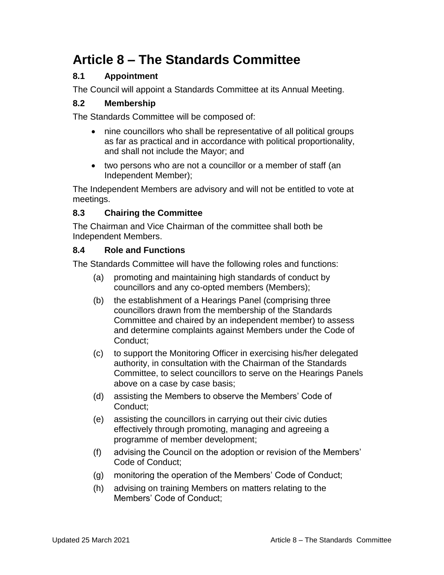# **Article 8 – The Standards Committee**

## **8.1 Appointment**

The Council will appoint a Standards Committee at its Annual Meeting.

### **8.2 Membership**

The Standards Committee will be composed of:

- nine councillors who shall be representative of all political groups as far as practical and in accordance with political proportionality, and shall not include the Mayor; and
- two persons who are not a councillor or a member of staff (an Independent Member);

The Independent Members are advisory and will not be entitled to vote at meetings.

### **8.3 Chairing the Committee**

The Chairman and Vice Chairman of the committee shall both be Independent Members.

#### **8.4 Role and Functions**

The Standards Committee will have the following roles and functions:

- (a) promoting and maintaining high standards of conduct by councillors and any co-opted members (Members);
- (b) the establishment of a Hearings Panel (comprising three councillors drawn from the membership of the Standards Committee and chaired by an independent member) to assess and determine complaints against Members under the Code of Conduct;
- (c) to support the Monitoring Officer in exercising his/her delegated authority, in consultation with the Chairman of the Standards Committee, to select councillors to serve on the Hearings Panels above on a case by case basis;
- (d) assisting the Members to observe the Members' Code of Conduct;
- (e) assisting the councillors in carrying out their civic duties effectively through promoting, managing and agreeing a programme of member development;
- (f) advising the Council on the adoption or revision of the Members' Code of Conduct;
- (g) monitoring the operation of the Members' Code of Conduct;
- (h) advising on training Members on matters relating to the Members' Code of Conduct;